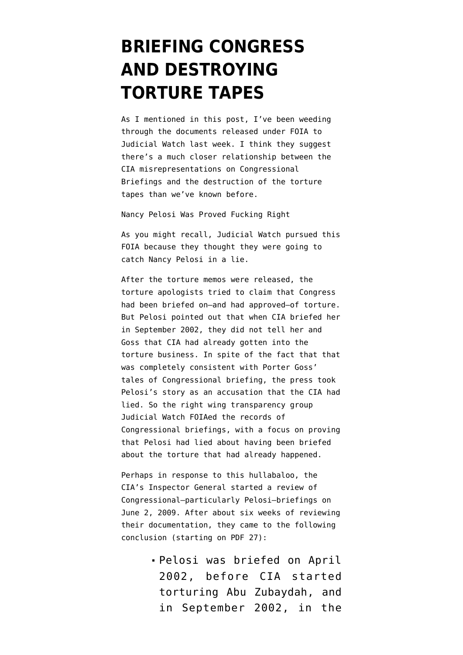## **[BRIEFING CONGRESS](https://www.emptywheel.net/2010/06/14/briefing-congress-and-destroying-torture-tapes/) [AND DESTROYING](https://www.emptywheel.net/2010/06/14/briefing-congress-and-destroying-torture-tapes/) [TORTURE TAPES](https://www.emptywheel.net/2010/06/14/briefing-congress-and-destroying-torture-tapes/)**

As I mentioned in [this post](http://emptywheel.firedoglake.com/2010/06/13/they-changed-the-pelosi-briefing-description-after-deciding-to-destroy-torture-tapes/), I've been weeding through the documents [released under FOIA to](http://www.judicialwatch.org/news/2010/jun/judicial-watch-obtains-additional-top-secret-records-detailing-congressional-briefings) [Judicial Watch](http://www.judicialwatch.org/news/2010/jun/judicial-watch-obtains-additional-top-secret-records-detailing-congressional-briefings) last week. I think they suggest there's a much closer relationship between the [CIA misrepresentations on Congressional](http://emptywheel.firedoglake.com/2009/05/19/the-cias-comedy-of-briefing-list-errors/) [Briefings](http://emptywheel.firedoglake.com/2009/05/19/the-cias-comedy-of-briefing-list-errors/) and the destruction of the torture tapes than we've known before.

Nancy Pelosi Was Proved Fucking Right

As you might recall, Judicial Watch pursued this FOIA because they thought they were going to catch Nancy Pelosi in a lie.

After the torture memos were released, the torture apologists tried to claim that Congress had been briefed on–and had approved–of torture. But Pelosi pointed out that when CIA briefed her in September 2002, [they did not tell her](http://emptywheel.firedoglake.com/2009/05/14/pelosi-cia-told-us-waterboarding-was-not-being-employed/) and Goss that CIA had already gotten into the torture business. In spite of the fact that that was [completely consistent with Porter Goss'](http://emptywheel.firedoglake.com/2009/05/21/goss-wont-elaborate-on-torture-techniques-that-were-to-be-employed/) [tales](http://emptywheel.firedoglake.com/2009/05/21/goss-wont-elaborate-on-torture-techniques-that-were-to-be-employed/) of Congressional briefing, the press took Pelosi's story as an accusation that the CIA had lied. So the right wing transparency group Judicial Watch FOIAed the records of Congressional briefings, with a focus on proving that Pelosi had lied about having been briefed about the torture that had already happened.

Perhaps in response to this hullabaloo, the CIA's Inspector General started a review of Congressional–particularly Pelosi–briefings on June 2, 2009. After about six weeks of reviewing their documentation, they came to the following conclusion (starting on [PDF 27\)](http://www.judicialwatch.org/files/documents/2010/CIApart5-06042010.pdf):

> Pelosi was briefed on April 2002, before CIA started torturing Abu Zubaydah, and in September 2002, in the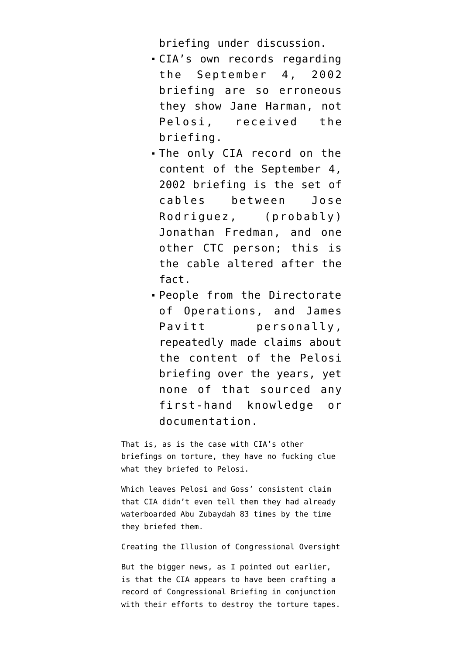briefing under discussion.

- CIA's own records regarding the September 4, 2002 briefing are so erroneous they show Jane Harman, not Pelosi, received the briefing.
- The only CIA record on the content of the September 4, 2002 briefing is the set of cables between Jose Rodriguez, (probably) Jonathan Fredman, and one other CTC person; this is the cable altered after the fact.
- People from the Directorate of Operations, and James Pavitt personally, repeatedly made claims about the content of the Pelosi briefing over the years, yet none of that sourced any first-hand knowledge or documentation.

That is, [as is the case with CIA's other](http://emptywheel.firedoglake.com/2010/03/16/cia-documents-prove-cia-claims-about-briefing-congress-on-torture-were-fabrications/) [briefings on torture](http://emptywheel.firedoglake.com/2010/03/16/cia-documents-prove-cia-claims-about-briefing-congress-on-torture-were-fabrications/), they have no fucking clue what they briefed to Pelosi.

Which leaves [Pelosi and Goss' consistent claim](http://emptywheel.firedoglake.com/2009/05/21/goss-wont-elaborate-on-torture-techniques-that-were-to-be-employed/) that CIA didn't even tell them they had already waterboarded Abu Zubaydah 83 times by the time they briefed them.

Creating the Illusion of Congressional Oversight

But the bigger news, as I [pointed out earlier](http://www.emptywheel.net/2010/06/13/they-changed-the-pelosi-briefing-description-after-deciding-to-destroy-torture-tapes/), is that the CIA appears to have been crafting a record of Congressional Briefing in conjunction with their efforts to destroy the torture tapes.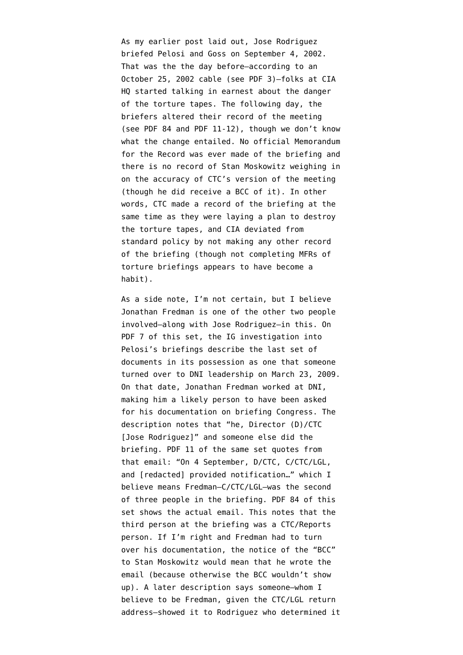As my earlier post laid out, Jose Rodriguez briefed Pelosi and Goss on September 4, 2002. That was the the day before–according to an October 25, 2002 cable (see [PDF 3\)](http://www.aclu.org/files/assets/cia_release20100415_p01-09.pdf)–folks at CIA HQ started talking in earnest about the danger of the torture tapes. The following day, the briefers altered their record of the meeting (see [PDF 84](http://www.judicialwatch.org/files/documents/2010/CIApart2-06042010.pdf) and [PDF 11-12\)](http://www.judicialwatch.org/files/documents/2010/CIApart5-06042010.pdf), though we don't know what the change entailed. No official Memorandum for the Record was ever made of the briefing and there is no record of Stan Moskowitz weighing in on the accuracy of CTC's version of the meeting (though he did receive a BCC of it). In other words, CTC made a record of the briefing at the same time as they were laying a plan to destroy the torture tapes, and CIA deviated from standard policy by not making any other record of the briefing (though not completing MFRs of torture briefings appears to have become a habit).

As a side note, I'm not certain, but I believe Jonathan Fredman is one of the other two people involved–along with Jose Rodriguez–in this. On [PDF 7 of this set,](http://www.judicialwatch.org/files/documents/2010/CIApart5-06042010.pdf) the IG investigation into Pelosi's briefings describe the last set of documents in its possession as one that someone turned over to DNI leadership on March 23, 2009. On that date, [Jonathan Fredman worked at DNI](http://washingtonindependent.com/40110/key-player-in-enhanced-interrogations-still-at-cia), making him a likely person to have been asked for his documentation on briefing Congress. The description notes that "he, Director (D)/CTC [Jose Rodriguez]" and someone else did the briefing. PDF 11 of the same set quotes from that email: "On 4 September, D/CTC, C/CTC/LGL, and [redacted] provided notification…" which I believe means Fredman–C/CTC/LGL–was the second of three people in the briefing. [PDF 84 of this](http://www.judicialwatch.org/files/documents/2010/CIApart2-06042010.pdf) [set](http://www.judicialwatch.org/files/documents/2010/CIApart2-06042010.pdf) shows the actual email. This notes that the third person at the briefing was a CTC/Reports person. If I'm right and Fredman had to turn over his documentation, the notice of the "BCC" to Stan Moskowitz would mean that he wrote the email (because otherwise the BCC wouldn't show up). A later description says someone–whom I believe to be Fredman, given the CTC/LGL return address–showed it to Rodriguez who determined it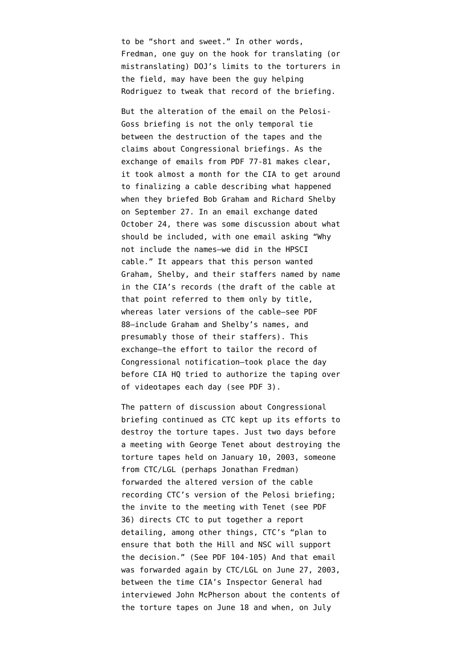to be "short and sweet." In other words, Fredman, one guy on the hook for translating (or mistranslating) DOJ's limits to the torturers in the field, may have been the guy helping Rodriguez to tweak that record of the briefing.

But the alteration of the email on the Pelosi-Goss briefing is not the only temporal tie between the destruction of the tapes and the claims about Congressional briefings. As the exchange of emails from [PDF 77-81](http://www.judicialwatch.org/files/documents/2010/CIApart6-06042010.pdf) makes clear, it took almost a month for the CIA to get around to finalizing a cable describing what happened when they briefed Bob Graham and Richard Shelby on September 27. In an email exchange dated October 24, there was some discussion about what should be included, with one email asking "Why not include the names–we did in the HPSCI cable." It appears that this person wanted Graham, Shelby, and their staffers named by name in the CIA's records (the draft of the cable at that point referred to them only by title, whereas later versions of the cable–see [PDF](http://www.judicialwatch.org/files/documents/2010/CIApart2-06042010.pdf) [88–](http://www.judicialwatch.org/files/documents/2010/CIApart2-06042010.pdf)include Graham and Shelby's names, and presumably those of their staffers). This exchange–the effort to tailor the record of Congressional notification–took place the day before CIA HQ tried to authorize the taping over of videotapes each day (see [PDF 3\)](http://www.aclu.org/files/assets/cia_release20100415_p01-09.pdf).

The pattern of discussion about Congressional briefing continued as CTC kept up its efforts to destroy the torture tapes. Just [two days before](http://emptywheel.firedoglake.com/2010/04/18/the-timeline-of-torture-tape-destruction-in-john-durhams-documents/) a meeting with George Tenet about destroying the torture tapes held on January 10, 2003, someone from CTC/LGL (perhaps Jonathan Fredman) forwarded the altered version of the cable recording CTC's version of the Pelosi briefing; the invite to the meeting with Tenet ([see PDF](http://www.aclu.org/files/assets/cia_release20100415_p19-27.pdf) [36\)](http://www.aclu.org/files/assets/cia_release20100415_p19-27.pdf) directs CTC to put together a report detailing, among other things, CTC's "plan to ensure that both the Hill and NSC will support the decision." (See [PDF 104-105\)](http://www.judicialwatch.org/files/documents/2010/CIApart6-06042010.pdf) And that email was forwarded again by CTC/LGL on June 27, 2003, [between the time](http://emptywheel.firedoglake.com/2010/04/18/the-timeline-of-torture-tape-destruction-in-john-durhams-documents/) CIA's Inspector General had interviewed John McPherson about the contents of the torture tapes on June 18 and when, on July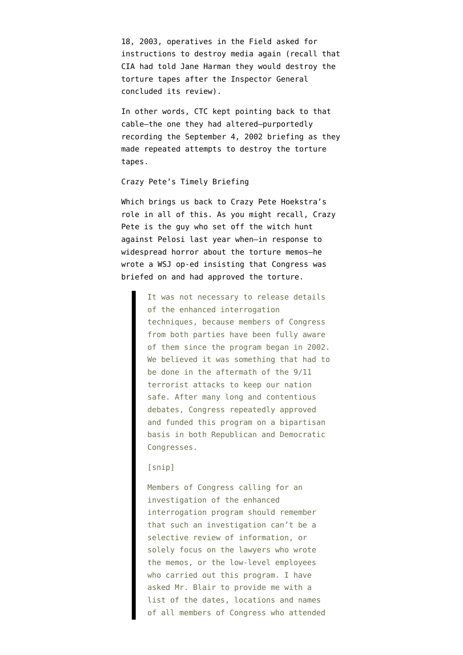18, 2003, operatives in the Field asked for instructions to destroy media again (recall that CIA had told Jane Harman they would destroy the torture tapes after the Inspector General concluded its review).

In other words, CTC kept pointing back to that cable–the one they had altered–purportedly recording the September 4, 2002 briefing as they made repeated attempts to destroy the torture tapes.

## Crazy Pete's Timely Briefing

Which brings us back to Crazy Pete Hoekstra's role in all of this. As you might recall, Crazy Pete is the guy who set off the witch hunt against Pelosi last year when–in response to widespread horror about the torture memos[–he](http://online.wsj.com/article/SB124044188941045415.html) [wrote a WSJ op-ed](http://online.wsj.com/article/SB124044188941045415.html) insisting that Congress was briefed on and had approved the torture.

> It was not necessary to release details of the enhanced interrogation techniques, because members of Congress from both parties have been fully aware of them since the program began in 2002. We believed it was something that had to be done in the aftermath of the 9/11 terrorist attacks to keep our nation safe. After many long and contentious debates, Congress repeatedly approved and funded this program on a bipartisan basis in both Republican and Democratic Congresses.

## [snip]

Members of Congress calling for an investigation of the enhanced interrogation program should remember that such an investigation can't be a selective review of information, or solely focus on the lawyers who wrote the memos, or the low-level employees who carried out this program. I have asked Mr. Blair to provide me with a list of the dates, locations and names of all members of Congress who attended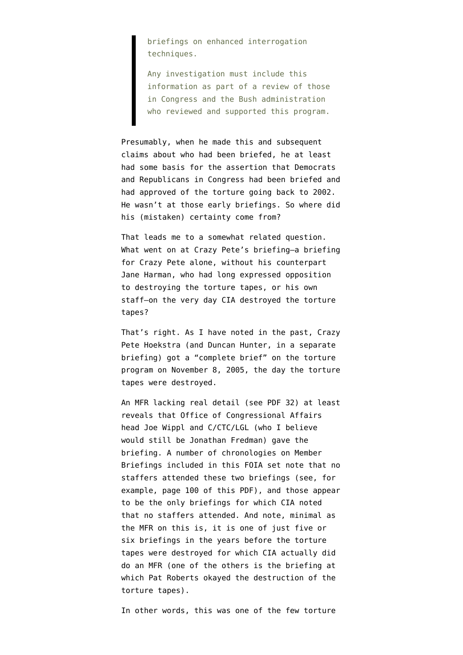briefings on enhanced interrogation techniques.

Any investigation must include this information as part of a review of those in Congress and the Bush administration who reviewed and supported this program.

Presumably, when he made this and subsequent claims about who had been briefed, he at least had some basis for the assertion that Democrats and Republicans in Congress had been briefed and had approved of the torture going back to 2002. He wasn't at those early briefings. So where did his (mistaken) certainty come from?

That leads me to a somewhat related question. What went on at Crazy Pete's briefing–a briefing for Crazy Pete alone, without his counterpart Jane Harman, who had long expressed opposition to destroying the torture tapes, or his own staff–on the very day CIA destroyed the torture tapes?

That's right. As I have noted in the past, Crazy Pete Hoekstra (and Duncan Hunter, in a separate briefing) got a "complete brief" on the torture program on November 8, 2005, the day the torture tapes were destroyed.

An MFR lacking real detail (see [PDF 32\)](http://www.judicialwatch.org/files/documents/2010/CIApart5-06042010.pdf) at least reveals that Office of Congressional Affairs head Joe Wippl and C/CTC/LGL (who I believe would still be Jonathan Fredman) gave the briefing. A number of chronologies on Member Briefings included in this FOIA set note that no staffers attended these two briefings (see, for example, [page 100 of this PDF](http://www.judicialwatch.org/files/documents/2010/CIApart2-06042010.pdf)), and those appear to be the only briefings for which CIA noted that no staffers attended. And note, minimal as the MFR on this is, it is one of just five or six briefings in the years before the torture tapes were destroyed for which CIA actually did do an MFR (one of the others is the briefing at which Pat Roberts okayed the destruction of the torture tapes).

In other words, this was one of the few torture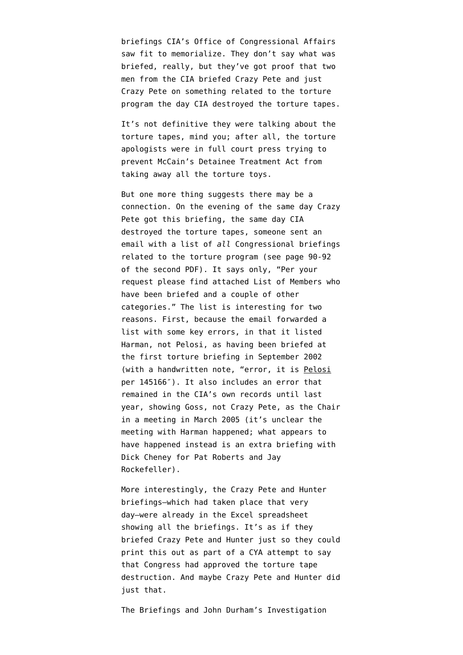briefings CIA's Office of Congressional Affairs saw fit to memorialize. They don't say what was briefed, really, but they've got proof that two men from the CIA briefed Crazy Pete and just Crazy Pete on something related to the torture program the day CIA destroyed the torture tapes.

It's not definitive they were talking about the torture tapes, mind you; after all, the torture apologists were in full court press trying to prevent McCain's Detainee Treatment Act from taking away all the torture toys.

But one more thing suggests there may be a connection. On the evening of the same day Crazy Pete got this briefing, the same day CIA destroyed the torture tapes, someone sent an email with a list of *all* Congressional briefings related to the torture program ([see page 90-92](http://www.judicialwatch.org/files/documents/2010/CIApart2-06042010.pdf) [of the second PDF\)](http://www.judicialwatch.org/files/documents/2010/CIApart2-06042010.pdf). It says only, "Per your request please find attached List of Members who have been briefed and a couple of other categories." The list is interesting for two reasons. First, because the email forwarded a list with some key errors, in that it listed Harman, not Pelosi, as having been briefed at the first torture briefing in September 2002 (with a handwritten note, "error, it is Pelosi per 145166″). It also includes an error that remained in the CIA's own records until last year, showing Goss, not Crazy Pete, as the Chair in a meeting in March 2005 (it's unclear the meeting with Harman happened; what appears to have happened instead is an extra briefing with Dick Cheney for Pat Roberts and Jay Rockefeller).

More interestingly, the Crazy Pete and Hunter briefings–which had taken place that very day–were already in the Excel spreadsheet showing all the briefings. It's as if they briefed Crazy Pete and Hunter just so they could print this out as part of a CYA attempt to say that Congress had approved the torture tape destruction. And maybe Crazy Pete and Hunter did just that.

The Briefings and John Durham's Investigation